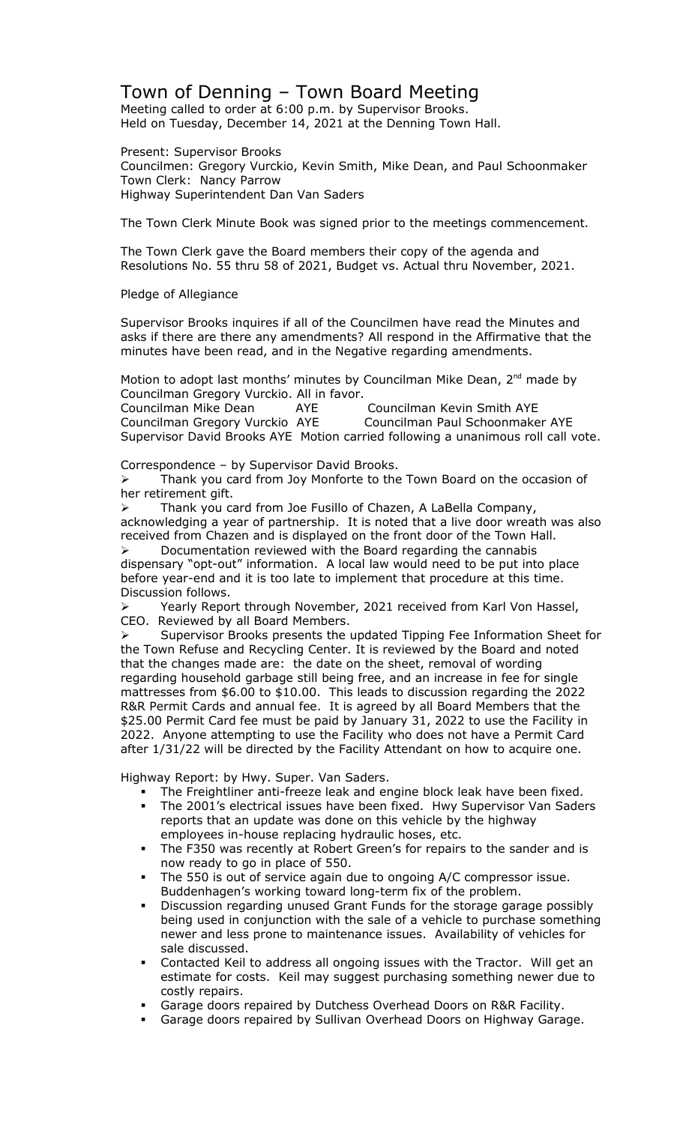## Town of Denning – Town Board Meeting

Meeting called to order at 6:00 p.m. by Supervisor Brooks. Held on Tuesday, December 14, 2021 at the Denning Town Hall.

Present: Supervisor Brooks Councilmen: Gregory Vurckio, Kevin Smith, Mike Dean, and Paul Schoonmaker Town Clerk: Nancy Parrow Highway Superintendent Dan Van Saders

The Town Clerk Minute Book was signed prior to the meetings commencement.

The Town Clerk gave the Board members their copy of the agenda and Resolutions No. 55 thru 58 of 2021, Budget vs. Actual thru November, 2021.

## Pledge of Allegiance

Supervisor Brooks inquires if all of the Councilmen have read the Minutes and asks if there are there any amendments? All respond in the Affirmative that the minutes have been read, and in the Negative regarding amendments.

Motion to adopt last months' minutes by Councilman Mike Dean, 2<sup>nd</sup> made by Councilman Gregory Vurckio. All in favor. Councilman Mike Dean AYE Councilman Kevin Smith AYE Councilman Gregory Vurckio AYE Councilman Paul Schoonmaker AYE Supervisor David Brooks AYE Motion carried following a unanimous roll call vote.

Correspondence – by Supervisor David Brooks.

 Thank you card from Joy Monforte to the Town Board on the occasion of her retirement gift.

 Thank you card from Joe Fusillo of Chazen, A LaBella Company, acknowledging a year of partnership. It is noted that a live door wreath was also received from Chazen and is displayed on the front door of the Town Hall.  $\triangleright$  Documentation reviewed with the Board regarding the cannabis

dispensary "opt-out" information. A local law would need to be put into place before year-end and it is too late to implement that procedure at this time. Discussion follows.

▶ Yearly Report through November, 2021 received from Karl Von Hassel, CEO. Reviewed by all Board Members.

 Supervisor Brooks presents the updated Tipping Fee Information Sheet for the Town Refuse and Recycling Center. It is reviewed by the Board and noted that the changes made are: the date on the sheet, removal of wording regarding household garbage still being free, and an increase in fee for single mattresses from \$6.00 to \$10.00. This leads to discussion regarding the 2022 R&R Permit Cards and annual fee. It is agreed by all Board Members that the \$25.00 Permit Card fee must be paid by January 31, 2022 to use the Facility in 2022. Anyone attempting to use the Facility who does not have a Permit Card after 1/31/22 will be directed by the Facility Attendant on how to acquire one.

Highway Report: by Hwy. Super. Van Saders.

- The Freightliner anti-freeze leak and engine block leak have been fixed.
- The 2001's electrical issues have been fixed. Hwy Supervisor Van Saders reports that an update was done on this vehicle by the highway employees in-house replacing hydraulic hoses, etc.
- The F350 was recently at Robert Green's for repairs to the sander and is now ready to go in place of 550.
- The 550 is out of service again due to ongoing A/C compressor issue. Buddenhagen's working toward long-term fix of the problem.
- Discussion regarding unused Grant Funds for the storage garage possibly being used in conjunction with the sale of a vehicle to purchase something newer and less prone to maintenance issues. Availability of vehicles for sale discussed.
- Contacted Keil to address all ongoing issues with the Tractor. Will get an estimate for costs. Keil may suggest purchasing something newer due to costly repairs.
- Garage doors repaired by Dutchess Overhead Doors on R&R Facility.
- **Garage doors repaired by Sullivan Overhead Doors on Highway Garage.**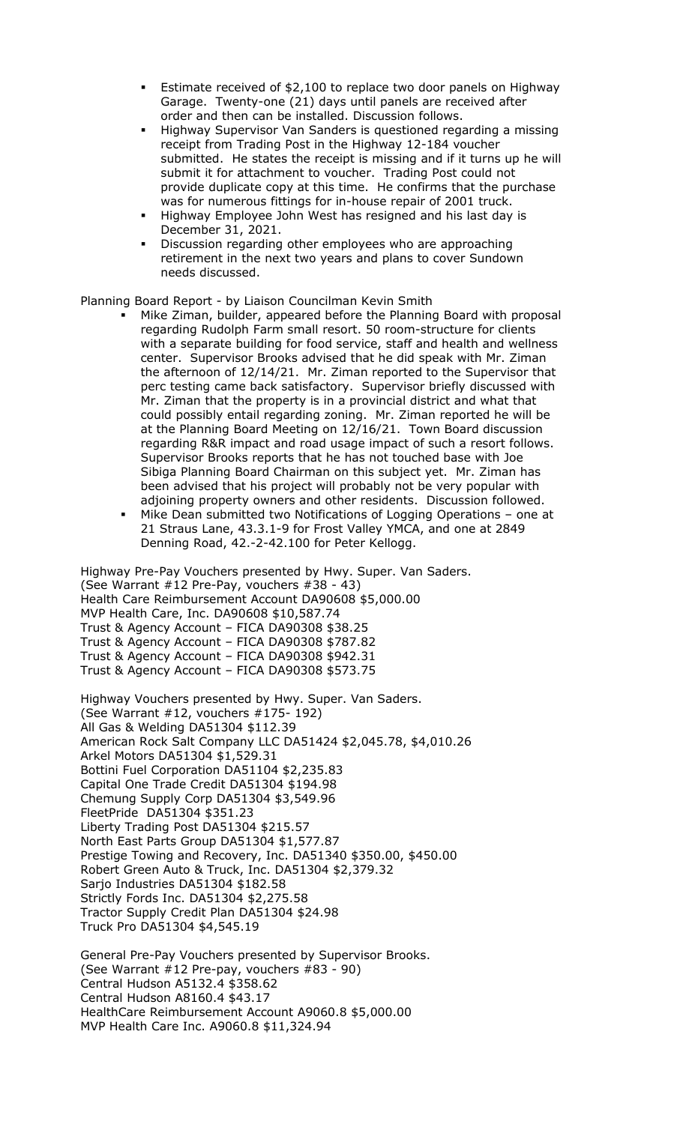- Estimate received of \$2,100 to replace two door panels on Highway Garage. Twenty-one (21) days until panels are received after order and then can be installed. Discussion follows.
- Highway Supervisor Van Sanders is questioned regarding a missing receipt from Trading Post in the Highway 12-184 voucher submitted. He states the receipt is missing and if it turns up he will submit it for attachment to voucher. Trading Post could not provide duplicate copy at this time. He confirms that the purchase was for numerous fittings for in-house repair of 2001 truck.
- Highway Employee John West has resigned and his last day is December 31, 2021.
- Discussion regarding other employees who are approaching retirement in the next two years and plans to cover Sundown needs discussed.

Planning Board Report - by Liaison Councilman Kevin Smith

- Mike Ziman, builder, appeared before the Planning Board with proposal regarding Rudolph Farm small resort. 50 room-structure for clients with a separate building for food service, staff and health and wellness center. Supervisor Brooks advised that he did speak with Mr. Ziman the afternoon of 12/14/21. Mr. Ziman reported to the Supervisor that perc testing came back satisfactory. Supervisor briefly discussed with Mr. Ziman that the property is in a provincial district and what that could possibly entail regarding zoning. Mr. Ziman reported he will be at the Planning Board Meeting on 12/16/21. Town Board discussion regarding R&R impact and road usage impact of such a resort follows. Supervisor Brooks reports that he has not touched base with Joe Sibiga Planning Board Chairman on this subject yet. Mr. Ziman has been advised that his project will probably not be very popular with adjoining property owners and other residents. Discussion followed.
- Mike Dean submitted two Notifications of Logging Operations one at 21 Straus Lane, 43.3.1-9 for Frost Valley YMCA, and one at 2849 Denning Road, 42.-2-42.100 for Peter Kellogg.

Highway Pre-Pay Vouchers presented by Hwy. Super. Van Saders. (See Warrant #12 Pre-Pay, vouchers #38 - 43) Health Care Reimbursement Account DA90608 \$5,000.00 MVP Health Care, Inc. DA90608 \$10,587.74 Trust & Agency Account – FICA DA90308 \$38.25 Trust & Agency Account – FICA DA90308 \$787.82 Trust & Agency Account – FICA DA90308 \$942.31 Trust & Agency Account – FICA DA90308 \$573.75

Highway Vouchers presented by Hwy. Super. Van Saders. (See Warrant #12, vouchers #175- 192) All Gas & Welding DA51304 \$112.39 American Rock Salt Company LLC DA51424 \$2,045.78, \$4,010.26 Arkel Motors DA51304 \$1,529.31 Bottini Fuel Corporation DA51104 \$2,235.83 Capital One Trade Credit DA51304 \$194.98 Chemung Supply Corp DA51304 \$3,549.96 FleetPride DA51304 \$351.23 Liberty Trading Post DA51304 \$215.57 North East Parts Group DA51304 \$1,577.87 Prestige Towing and Recovery, Inc. DA51340 \$350.00, \$450.00 Robert Green Auto & Truck, Inc. DA51304 \$2,379.32 Sarjo Industries DA51304 \$182.58 Strictly Fords Inc. DA51304 \$2,275.58 Tractor Supply Credit Plan DA51304 \$24.98 Truck Pro DA51304 \$4,545.19

General Pre-Pay Vouchers presented by Supervisor Brooks. (See Warrant #12 Pre-pay, vouchers #83 - 90) Central Hudson A5132.4 \$358.62 Central Hudson A8160.4 \$43.17 HealthCare Reimbursement Account A9060.8 \$5,000.00 MVP Health Care Inc. A9060.8 \$11,324.94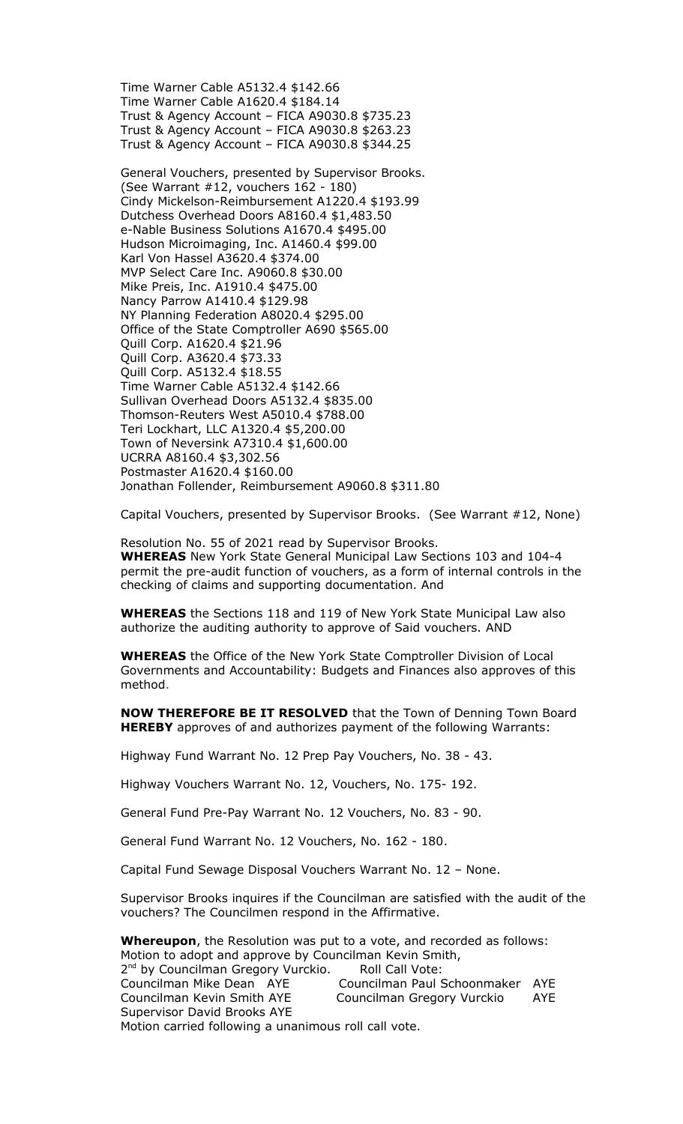Time Warner Cable A5132.4 \$142.66 Time Warner Cable A1620.4 \$184.14 Trust & Agency Account – FICA A9030.8 \$735.23 Trust & Agency Account – FICA A9030.8 \$263.23 Trust & Agency Account – FICA A9030.8 \$344.25

General Vouchers, presented by Supervisor Brooks. (See Warrant #12, vouchers 162 - 180) Cindy Mickelson-Reimbursement A1220.4 \$193.99 Dutchess Overhead Doors A8160.4 \$1,483.50 e-Nable Business Solutions A1670.4 \$495.00 Hudson Microimaging, Inc. A1460.4 \$99.00 Karl Von Hassel A3620.4 \$374.00 MVP Select Care Inc. A9060.8 \$30.00 Mike Preis, Inc. A1910.4 \$475.00 Nancy Parrow A1410.4 \$129.98 NY Planning Federation A8020.4 \$295.00 Office of the State Comptroller A690 \$565.00 Quill Corp. A1620.4 \$21.96 Quill Corp. A3620.4 \$73.33 Quill Corp. A5132.4 \$18.55 Time Warner Cable A5132.4 \$142.66 Sullivan Overhead Doors A5132.4 \$835.00 Thomson-Reuters West A5010.4 \$788.00 Teri Lockhart, LLC A1320.4 \$5,200.00 Town of Neversink A7310.4 \$1,600.00 UCRRA A8160.4 \$3,302.56 Postmaster A1620.4 \$160.00 Jonathan Follender, Reimbursement A9060.8 \$311.80

Capital Vouchers, presented by Supervisor Brooks. (See Warrant #12, None)

Resolution No. 55 of 2021 read by Supervisor Brooks. **WHEREAS** New York State General Municipal Law Sections 103 and 104-4 permit the pre-audit function of vouchers, as a form of internal controls in the checking of claims and supporting documentation. And

**WHEREAS** the Sections 118 and 119 of New York State Municipal Law also authorize the auditing authority to approve of Said vouchers. AND

**WHEREAS** the Office of the New York State Comptroller Division of Local Governments and Accountability: Budgets and Finances also approves of this method.

**NOW THEREFORE BE IT RESOLVED** that the Town of Denning Town Board **HEREBY** approves of and authorizes payment of the following Warrants:

Highway Fund Warrant No. 12 Prep Pay Vouchers, No. 38 - 43.

Highway Vouchers Warrant No. 12, Vouchers, No. 175- 192.

General Fund Pre-Pay Warrant No. 12 Vouchers, No. 83 - 90.

General Fund Warrant No. 12 Vouchers, No. 162 - 180.

Capital Fund Sewage Disposal Vouchers Warrant No. 12 – None.

Supervisor Brooks inquires if the Councilman are satisfied with the audit of the vouchers? The Councilmen respond in the Affirmative.

**Whereupon**, the Resolution was put to a vote, and recorded as follows: Motion to adopt and approve by Councilman Kevin Smith, 2<sup>nd</sup> by Councilman Gregory Vurckio. Roll Call Vote: Councilman Mike Dean AYE Councilman Paul Schoonmaker AYE Councilman Kevin Smith AYE Councilman Gregory Vurckio AYE Supervisor David Brooks AYE Motion carried following a unanimous roll call vote.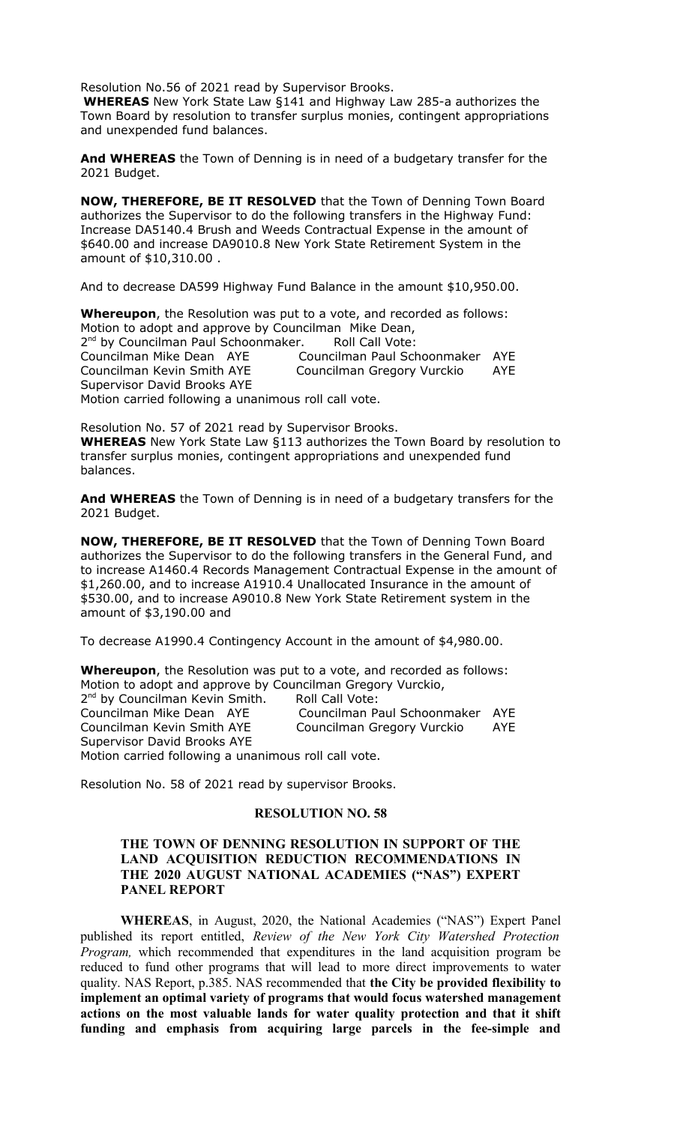Resolution No.56 of 2021 read by Supervisor Brooks.

**WHEREAS** New York State Law §141 and Highway Law 285-a authorizes the Town Board by resolution to transfer surplus monies, contingent appropriations and unexpended fund balances.

**And WHEREAS** the Town of Denning is in need of a budgetary transfer for the 2021 Budget.

**NOW, THEREFORE, BE IT RESOLVED** that the Town of Denning Town Board authorizes the Supervisor to do the following transfers in the Highway Fund: Increase DA5140.4 Brush and Weeds Contractual Expense in the amount of \$640.00 and increase DA9010.8 New York State Retirement System in the amount of \$10,310.00 .

And to decrease DA599 Highway Fund Balance in the amount \$10,950.00.

**Whereupon**, the Resolution was put to a vote, and recorded as follows: Motion to adopt and approve by Councilman Mike Dean, 2<sup>nd</sup> by Councilman Paul Schoonmaker. Roll Call Vote: Councilman Mike Dean AYE Councilman Paul Schoonmaker AYE Councilman Kevin Smith AYE Councilman Gregory Vurckio AYE Supervisor David Brooks AYE Motion carried following a unanimous roll call vote.

Resolution No. 57 of 2021 read by Supervisor Brooks. **WHEREAS** New York State Law §113 authorizes the Town Board by resolution to transfer surplus monies, contingent appropriations and unexpended fund balances.

**And WHEREAS** the Town of Denning is in need of a budgetary transfers for the 2021 Budget.

**NOW, THEREFORE, BE IT RESOLVED** that the Town of Denning Town Board authorizes the Supervisor to do the following transfers in the General Fund, and to increase A1460.4 Records Management Contractual Expense in the amount of \$1,260.00, and to increase A1910.4 Unallocated Insurance in the amount of \$530.00, and to increase A9010.8 New York State Retirement system in the amount of \$3,190.00 and

To decrease A1990.4 Contingency Account in the amount of \$4,980.00.

**Whereupon**, the Resolution was put to a vote, and recorded as follows: Motion to adopt and approve by Councilman Gregory Vurckio, 2<sup>nd</sup> by Councilman Kevin Smith. Roll Call Vote: Councilman Mike Dean AYE Councilman Paul Schoonmaker AYE Councilman Kevin Smith AYE Councilman Gregory Vurckio AYE Supervisor David Brooks AYE Motion carried following a unanimous roll call vote.

Resolution No. 58 of 2021 read by supervisor Brooks.

## **RESOLUTION NO. 58**

## **THE TOWN OF DENNING RESOLUTION IN SUPPORT OF THE LAND ACQUISITION REDUCTION RECOMMENDATIONS IN THE 2020 AUGUST NATIONAL ACADEMIES ("NAS") EXPERT PANEL REPORT**

**WHEREAS**, in August, 2020, the National Academies ("NAS") Expert Panel published its report entitled, *Review of the New York City Watershed Protection Program*, which recommended that expenditures in the land acquisition program be reduced to fund other programs that will lead to more direct improvements to water quality. NAS Report, p.385. NAS recommended that **the City be provided flexibility to implement an optimal variety of programs that would focus watershed management actions on the most valuable lands for water quality protection and that it shift funding and emphasis from acquiring large parcels in the fee-simple and**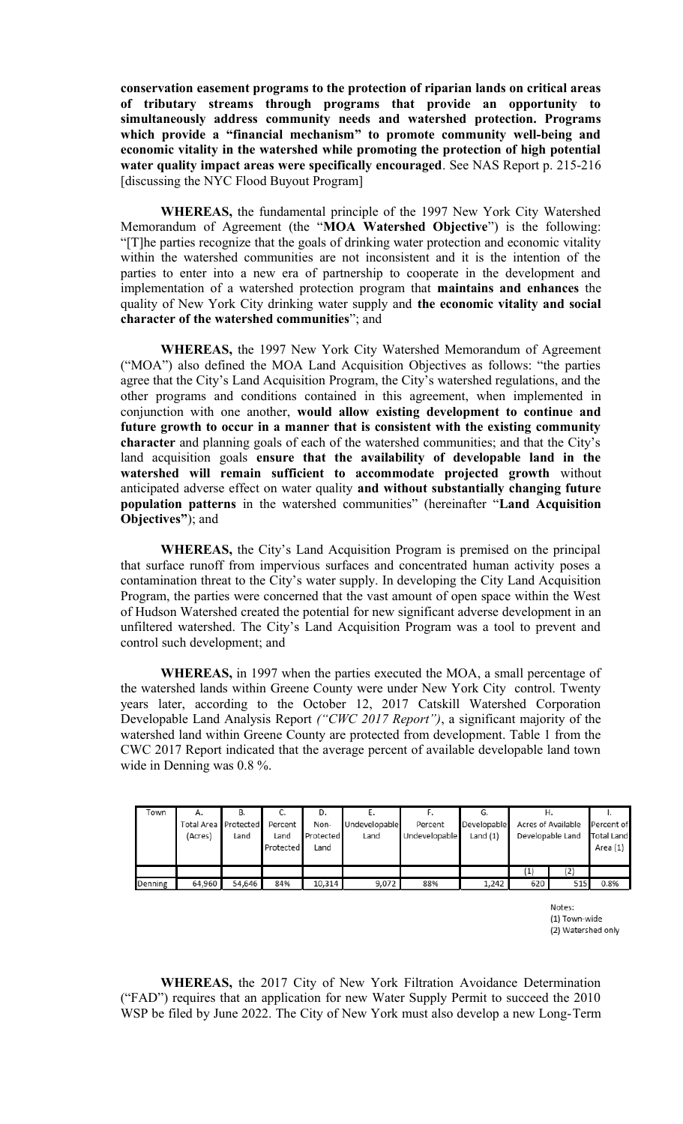**conservation easement programs to the protection of riparian lands on critical areas of tributary streams through programs that provide an opportunity to simultaneously address community needs and watershed protection. Programs which provide a "financial mechanism" to promote community well-being and economic vitality in the watershed while promoting the protection of high potential water quality impact areas were specifically encouraged**. See NAS Report p. 215-216 [discussing the NYC Flood Buyout Program]

**WHEREAS,** the fundamental principle of the 1997 New York City Watershed Memorandum of Agreement (the "**MOA Watershed Objective**") is the following: "[T]he parties recognize that the goals of drinking water protection and economic vitality within the watershed communities are not inconsistent and it is the intention of the parties to enter into a new era of partnership to cooperate in the development and implementation of a watershed protection program that **maintains and enhances** the quality of New York City drinking water supply and **the economic vitality and social character of the watershed communities**"; and

**WHEREAS,** the 1997 New York City Watershed Memorandum of Agreement ("MOA") also defined the MOA Land Acquisition Objectives as follows: "the parties agree that the City's Land Acquisition Program, the City's watershed regulations, and the other programs and conditions contained in this agreement, when implemented in conjunction with one another, **would allow existing development to continue and future growth to occur in a manner that is consistent with the existing community character** and planning goals of each of the watershed communities; and that the City's land acquisition goals **ensure that the availability of developable land in the watershed will remain sufficient to accommodate projected growth** without anticipated adverse effect on water quality **and without substantially changing future population patterns** in the watershed communities" (hereinafter "**Land Acquisition Objectives"**); and

**WHEREAS,** the City's Land Acquisition Program is premised on the principal that surface runoff from impervious surfaces and concentrated human activity poses a contamination threat to the City's water supply. In developing the City Land Acquisition Program, the parties were concerned that the vast amount of open space within the West of Hudson Watershed created the potential for new significant adverse development in an unfiltered watershed. The City's Land Acquisition Program was a tool to prevent and control such development; and

**WHEREAS,** in 1997 when the parties executed the MOA, a small percentage of the watershed lands within Greene County were under New York City control. Twenty years later, according to the October 12, 2017 Catskill Watershed Corporation Developable Land Analysis Report *("CWC 2017 Report")*, a significant majority of the watershed land within Greene County are protected from development. Table 1 from the CWC 2017 Report indicated that the average percent of available developable land town wide in Denning was 0.8 %.

| Town    | А.<br>Total Area Protected<br>(Acres) | В.<br>Land | Percent<br>Land<br>Protected | D.<br>Non-<br>Protected<br>Land | Undevelopable<br>Land | Percent<br>Undevelopable | G.<br>Developable<br>Land $(1)$ | Η.                | Acres of Available<br>Developable Land | Percent of<br><b>Total Land</b><br>Area (1) |
|---------|---------------------------------------|------------|------------------------------|---------------------------------|-----------------------|--------------------------|---------------------------------|-------------------|----------------------------------------|---------------------------------------------|
|         |                                       |            |                              |                                 |                       |                          |                                 | $\left( 1\right)$ | (2)                                    |                                             |
| Denning | 64,960                                | 54,646     | 84%                          | 10,314                          | 9,072                 | 88%                      | 1,242                           | 620               | 515                                    | 0.8%                                        |

Notes: (1) Town-wide (2) Watershed only

**WHEREAS,** the 2017 City of New York Filtration Avoidance Determination ("FAD") requires that an application for new Water Supply Permit to succeed the 2010 WSP be filed by June 2022. The City of New York must also develop a new Long-Term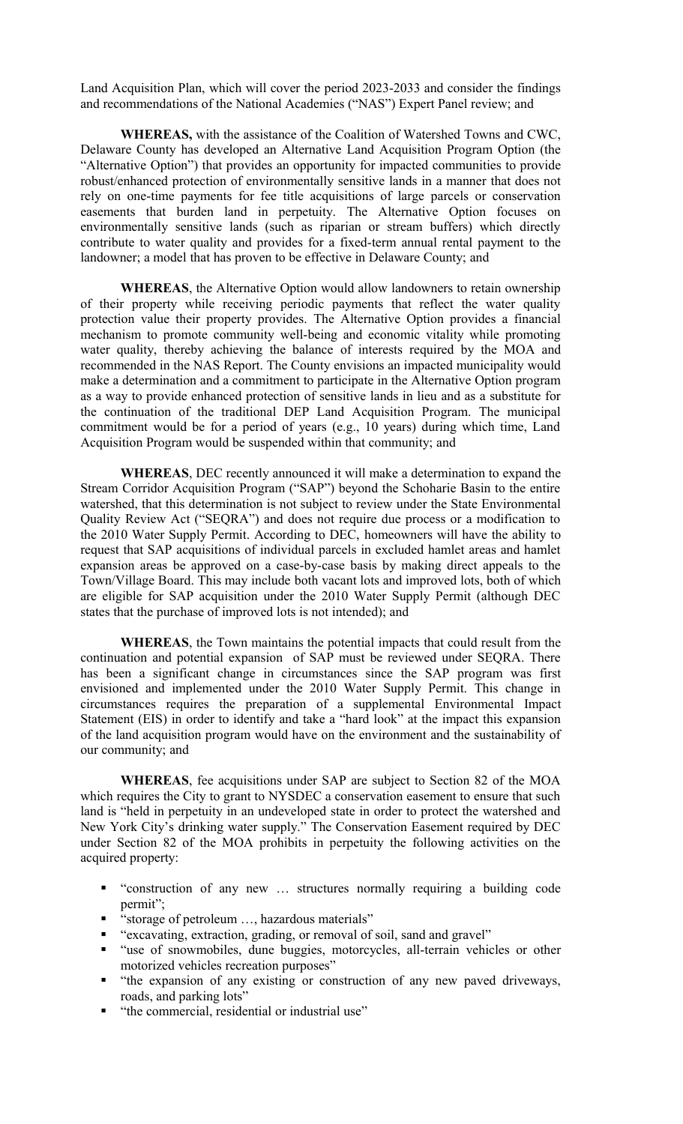Land Acquisition Plan, which will cover the period 2023-2033 and consider the findings and recommendations of the National Academies ("NAS") Expert Panel review; and

**WHEREAS,** with the assistance of the Coalition of Watershed Towns and CWC, Delaware County has developed an Alternative Land Acquisition Program Option (the "Alternative Option") that provides an opportunity for impacted communities to provide robust/enhanced protection of environmentally sensitive lands in a manner that does not rely on one-time payments for fee title acquisitions of large parcels or conservation easements that burden land in perpetuity. The Alternative Option focuses on environmentally sensitive lands (such as riparian or stream buffers) which directly contribute to water quality and provides for a fixed-term annual rental payment to the landowner; a model that has proven to be effective in Delaware County; and

**WHEREAS**, the Alternative Option would allow landowners to retain ownership of their property while receiving periodic payments that reflect the water quality protection value their property provides. The Alternative Option provides a financial mechanism to promote community well-being and economic vitality while promoting water quality, thereby achieving the balance of interests required by the MOA and recommended in the NAS Report. The County envisions an impacted municipality would make a determination and a commitment to participate in the Alternative Option program as a way to provide enhanced protection of sensitive lands in lieu and as a substitute for the continuation of the traditional DEP Land Acquisition Program. The municipal commitment would be for a period of years (e.g., 10 years) during which time, Land Acquisition Program would be suspended within that community; and

**WHEREAS**, DEC recently announced it will make a determination to expand the Stream Corridor Acquisition Program ("SAP") beyond the Schoharie Basin to the entire watershed, that this determination is not subject to review under the State Environmental Quality Review Act ("SEQRA") and does not require due process or a modification to the 2010 Water Supply Permit. According to DEC, homeowners will have the ability to request that SAP acquisitions of individual parcels in excluded hamlet areas and hamlet expansion areas be approved on a case-by-case basis by making direct appeals to the Town/Village Board. This may include both vacant lots and improved lots, both of which are eligible for SAP acquisition under the 2010 Water Supply Permit (although DEC states that the purchase of improved lots is not intended); and

**WHEREAS**, the Town maintains the potential impacts that could result from the continuation and potential expansion of SAP must be reviewed under SEQRA. There has been a significant change in circumstances since the SAP program was first envisioned and implemented under the 2010 Water Supply Permit. This change in circumstances requires the preparation of a supplemental Environmental Impact Statement (EIS) in order to identify and take a "hard look" at the impact this expansion of the land acquisition program would have on the environment and the sustainability of our community; and

**WHEREAS**, fee acquisitions under SAP are subject to Section 82 of the MOA which requires the City to grant to NYSDEC a conservation easement to ensure that such land is "held in perpetuity in an undeveloped state in order to protect the watershed and New York City's drinking water supply." The Conservation Easement required by DEC under Section 82 of the MOA prohibits in perpetuity the following activities on the acquired property:

- "construction of any new … structures normally requiring a building code permit";
- "storage of petroleum ..., hazardous materials"
- "excavating, extraction, grading, or removal of soil, sand and gravel"
- "use of snowmobiles, dune buggies, motorcycles, all-terrain vehicles or other motorized vehicles recreation purposes"
- "the expansion of any existing or construction of any new paved driveways, roads, and parking lots"
- "the commercial, residential or industrial use"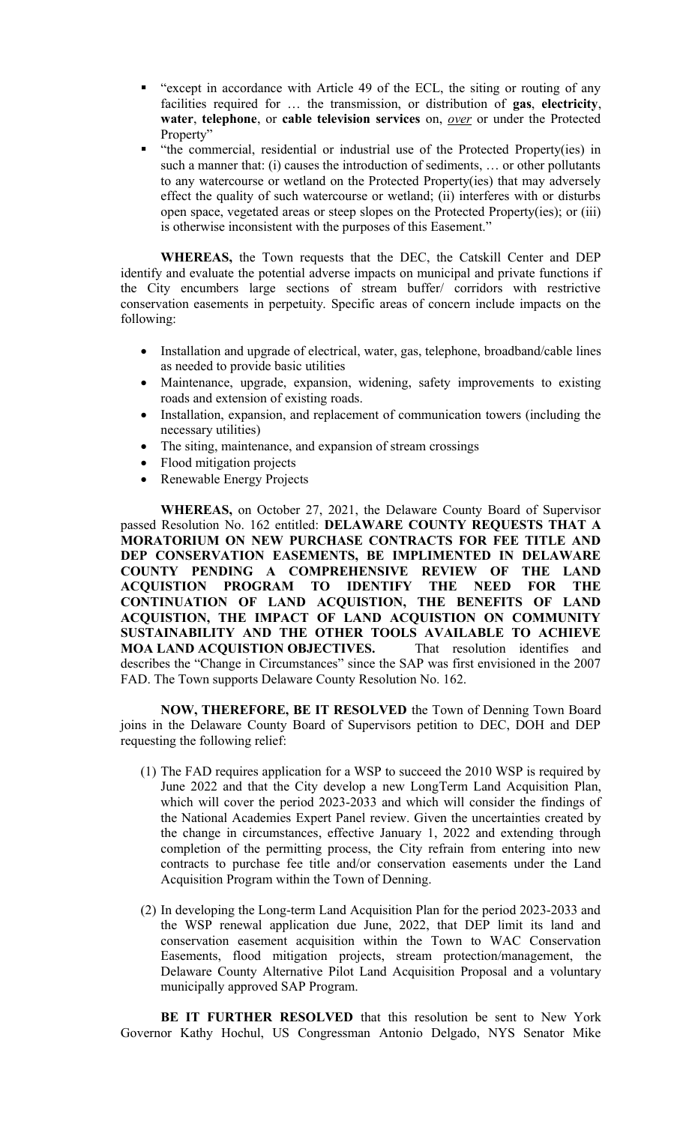- "except in accordance with Article 49 of the ECL, the siting or routing of any facilities required for … the transmission, or distribution of **gas**, **electricity**, **water**, **telephone**, or **cable television services** on, *over* or under the Protected Property"
- "the commercial, residential or industrial use of the Protected Property(ies) in such a manner that: (i) causes the introduction of sediments, … or other pollutants to any watercourse or wetland on the Protected Property(ies) that may adversely effect the quality of such watercourse or wetland; (ii) interferes with or disturbs open space, vegetated areas or steep slopes on the Protected Property(ies); or (iii) is otherwise inconsistent with the purposes of this Easement."

**WHEREAS,** the Town requests that the DEC, the Catskill Center and DEP identify and evaluate the potential adverse impacts on municipal and private functions if the City encumbers large sections of stream buffer/ corridors with restrictive conservation easements in perpetuity. Specific areas of concern include impacts on the following:

- Installation and upgrade of electrical, water, gas, telephone, broadband/cable lines as needed to provide basic utilities
- Maintenance, upgrade, expansion, widening, safety improvements to existing roads and extension of existing roads.
- Installation, expansion, and replacement of communication towers (including the necessary utilities)
- The siting, maintenance, and expansion of stream crossings
- Flood mitigation projects
- Renewable Energy Projects

**WHEREAS,** on October 27, 2021, the Delaware County Board of Supervisor passed Resolution No. 162 entitled: **DELAWARE COUNTY REQUESTS THAT A MORATORIUM ON NEW PURCHASE CONTRACTS FOR FEE TITLE AND DEP CONSERVATION EASEMENTS, BE IMPLIMENTED IN DELAWARE COUNTY PENDING A COMPREHENSIVE REVIEW OF THE LAND ACQUISTION PROGRAM TO IDENTIFY THE NEED FOR THE CONTINUATION OF LAND ACQUISTION, THE BENEFITS OF LAND ACQUISTION, THE IMPACT OF LAND ACQUISTION ON COMMUNITY SUSTAINABILITY AND THE OTHER TOOLS AVAILABLE TO ACHIEVE MOA LAND ACQUISTION OBJECTIVES.** That resolution identifies and describes the "Change in Circumstances" since the SAP was first envisioned in the 2007 FAD. The Town supports Delaware County Resolution No. 162.

**NOW, THEREFORE, BE IT RESOLVED** the Town of Denning Town Board joins in the Delaware County Board of Supervisors petition to DEC, DOH and DEP requesting the following relief:

- (1) The FAD requires application for a WSP to succeed the 2010 WSP is required by June 2022 and that the City develop a new LongTerm Land Acquisition Plan, which will cover the period 2023-2033 and which will consider the findings of the National Academies Expert Panel review. Given the uncertainties created by the change in circumstances, effective January 1, 2022 and extending through completion of the permitting process, the City refrain from entering into new contracts to purchase fee title and/or conservation easements under the Land Acquisition Program within the Town of Denning.
- (2) In developing the Long-term Land Acquisition Plan for the period 2023-2033 and the WSP renewal application due June, 2022, that DEP limit its land and conservation easement acquisition within the Town to WAC Conservation Easements, flood mitigation projects, stream protection/management, the Delaware County Alternative Pilot Land Acquisition Proposal and a voluntary municipally approved SAP Program.

**BE IT FURTHER RESOLVED** that this resolution be sent to New York Governor Kathy Hochul, US Congressman Antonio Delgado, NYS Senator Mike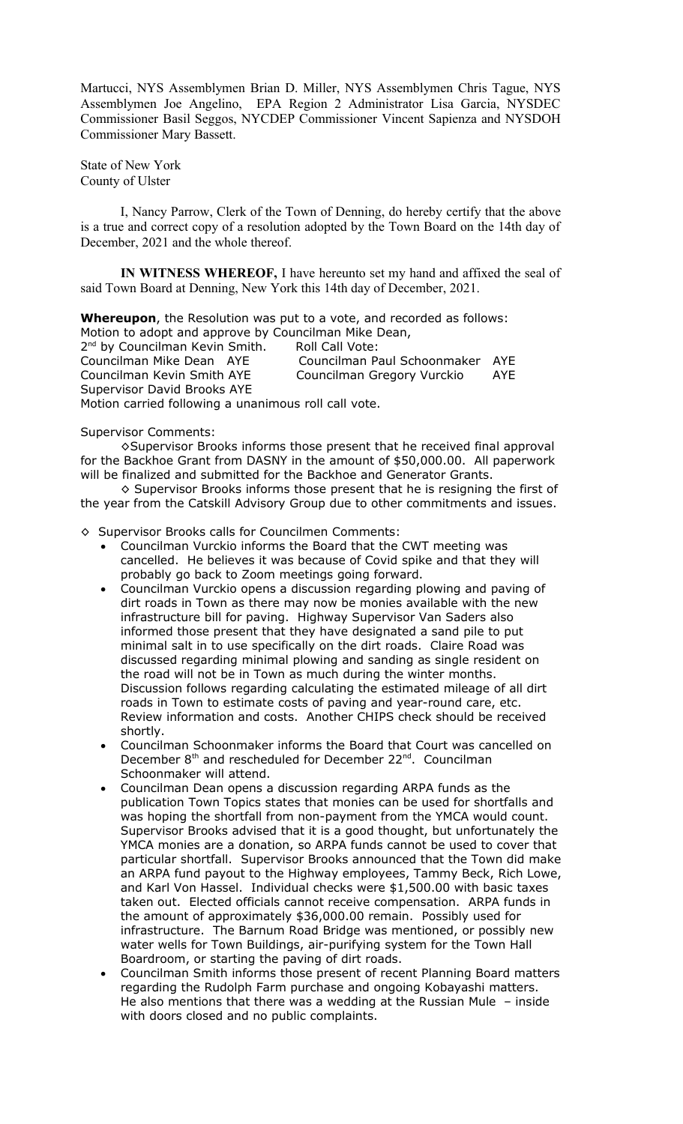Martucci, NYS Assemblymen Brian D. Miller, NYS Assemblymen Chris Tague, NYS Assemblymen Joe Angelino, EPA Region 2 Administrator Lisa Garcia, NYSDEC Commissioner Basil Seggos, NYCDEP Commissioner Vincent Sapienza and NYSDOH Commissioner Mary Bassett.

State of New York County of Ulster

I, Nancy Parrow, Clerk of the Town of Denning, do hereby certify that the above is a true and correct copy of a resolution adopted by the Town Board on the 14th day of December, 2021 and the whole thereof.

**IN WITNESS WHEREOF,** I have hereunto set my hand and affixed the seal of said Town Board at Denning, New York this 14th day of December, 2021.

**Whereupon**, the Resolution was put to a vote, and recorded as follows: Motion to adopt and approve by Councilman Mike Dean,

2<sup>nd</sup> by Councilman Kevin Smith. Roll Call Vote: Councilman Mike Dean AYE Councilman Paul Schoonmaker AYE Councilman Kevin Smith AYE Councilman Gregory Vurckio AYE Supervisor David Brooks AYE Motion carried following a unanimous roll call vote.

Supervisor Comments:

◊Supervisor Brooks informs those present that he received final approval for the Backhoe Grant from DASNY in the amount of \$50,000.00. All paperwork will be finalized and submitted for the Backhoe and Generator Grants.

◊ Supervisor Brooks informs those present that he is resigning the first of the year from the Catskill Advisory Group due to other commitments and issues.

◊ Supervisor Brooks calls for Councilmen Comments:

- Councilman Vurckio informs the Board that the CWT meeting was cancelled. He believes it was because of Covid spike and that they will probably go back to Zoom meetings going forward.
- Councilman Vurckio opens a discussion regarding plowing and paving of dirt roads in Town as there may now be monies available with the new infrastructure bill for paving. Highway Supervisor Van Saders also informed those present that they have designated a sand pile to put minimal salt in to use specifically on the dirt roads. Claire Road was discussed regarding minimal plowing and sanding as single resident on the road will not be in Town as much during the winter months. Discussion follows regarding calculating the estimated mileage of all dirt roads in Town to estimate costs of paving and year-round care, etc. Review information and costs. Another CHIPS check should be received shortly.
- Councilman Schoonmaker informs the Board that Court was cancelled on December 8<sup>th</sup> and rescheduled for December 22<sup>nd</sup>. Councilman Schoonmaker will attend.
- Councilman Dean opens a discussion regarding ARPA funds as the publication Town Topics states that monies can be used for shortfalls and was hoping the shortfall from non-payment from the YMCA would count. Supervisor Brooks advised that it is a good thought, but unfortunately the YMCA monies are a donation, so ARPA funds cannot be used to cover that particular shortfall. Supervisor Brooks announced that the Town did make an ARPA fund payout to the Highway employees, Tammy Beck, Rich Lowe, and Karl Von Hassel. Individual checks were \$1,500.00 with basic taxes taken out. Elected officials cannot receive compensation. ARPA funds in the amount of approximately \$36,000.00 remain. Possibly used for infrastructure. The Barnum Road Bridge was mentioned, or possibly new water wells for Town Buildings, air-purifying system for the Town Hall Boardroom, or starting the paving of dirt roads.
- Councilman Smith informs those present of recent Planning Board matters regarding the Rudolph Farm purchase and ongoing Kobayashi matters. He also mentions that there was a wedding at the Russian Mule – inside with doors closed and no public complaints.